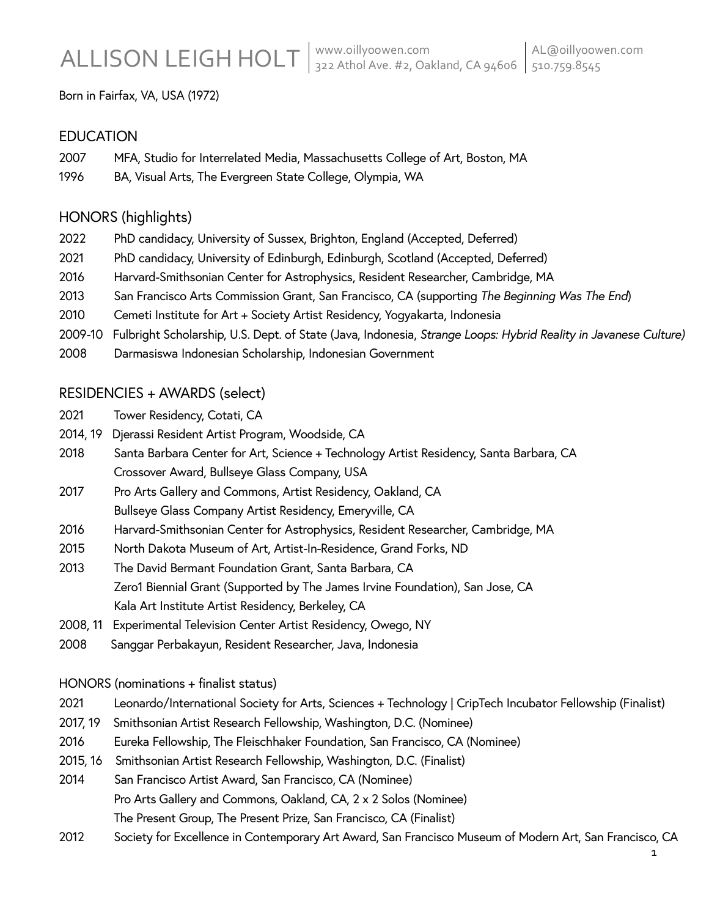Born in Fairfax, VA, USA (1972)

### **EDUCATION**

- 2007 MFA, Studio for Interrelated Media, Massachusetts College of Art, Boston, MA
- 1996 BA, Visual Arts, The Evergreen State College, Olympia, WA

## HONORS (highlights)

- 2022 PhD candidacy, University of Sussex, Brighton, England (Accepted, Deferred)
- 2021 PhD candidacy, University of Edinburgh, Edinburgh, Scotland (Accepted, Deferred)
- 2016 Harvard-Smithsonian Center for Astrophysics, Resident Researcher, Cambridge, MA
- 2013 San Francisco Arts Commission Grant, San Francisco, CA (supporting *The Beginning Was The End*)
- 2010 Cemeti Institute for Art + Society Artist Residency, Yogyakarta, Indonesia
- 2009-10 Fulbright Scholarship, U.S. Dept. of State (Java, Indonesia, *Strange Loops: Hybrid Reality in Javanese Culture)*
- 2008 Darmasiswa Indonesian Scholarship, Indonesian Government

## RESIDENCIES + AWARDS (select)

- 2021 Tower Residency, Cotati, CA
- 2014, 19 Djerassi Resident Artist Program, Woodside, CA
- 2018 Santa Barbara Center for Art, Science + Technology Artist Residency, Santa Barbara, CA Crossover Award, Bullseye Glass Company, USA
- 2017 Pro Arts Gallery and Commons, Artist Residency, Oakland, CA Bullseye Glass Company Artist Residency, Emeryville, CA
- 2016 Harvard-Smithsonian Center for Astrophysics, Resident Researcher, Cambridge, MA
- 2015 North Dakota Museum of Art, Artist-In-Residence, Grand Forks, ND
- 2013 The David Bermant Foundation Grant, Santa Barbara, CA Zero1 Biennial Grant (Supported by The James Irvine Foundation), San Jose, CA Kala Art Institute Artist Residency, Berkeley, CA
- 2008, 11 Experimental Television Center Artist Residency, Owego, NY
- 2008 Sanggar Perbakayun, Resident Researcher, Java, Indonesia

### HONORS (nominations + finalist status)

- 2021 Leonardo/International Society for Arts, Sciences + Technology | CripTech Incubator Fellowship (Finalist)
- 2017, 19 Smithsonian Artist Research Fellowship, Washington, D.C. (Nominee)
- 2016 Eureka Fellowship, The Fleischhaker Foundation, San Francisco, CA (Nominee)
- 2015, 16 Smithsonian Artist Research Fellowship, Washington, D.C. (Finalist)

2014 San Francisco Artist Award, San Francisco, CA (Nominee) Pro Arts Gallery and Commons, Oakland, CA, 2 x 2 Solos (Nominee) The Present Group, The Present Prize, San Francisco, CA (Finalist)

2012 Society for Excellence in Contemporary Art Award, San Francisco Museum of Modern Art, San Francisco, CA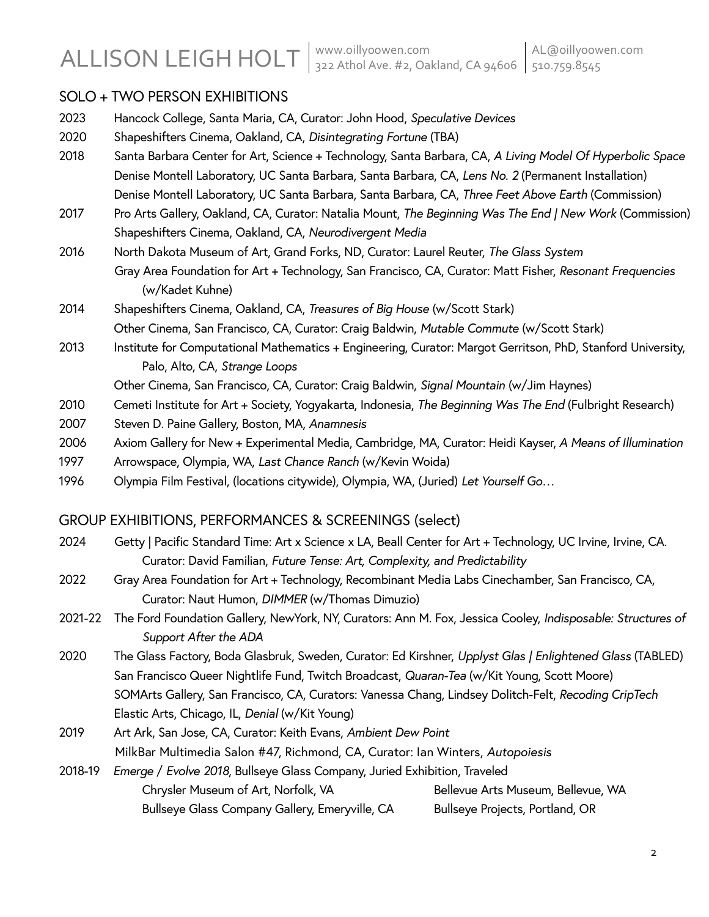# SOLO + TWO PERSON EXHIBITIONS

| 2023 | Hancock College, Santa Maria, CA, Curator: John Hood, Speculative Devices                                   |  |  |
|------|-------------------------------------------------------------------------------------------------------------|--|--|
| 2020 | Shapeshifters Cinema, Oakland, CA, Disintegrating Fortune (TBA)                                             |  |  |
| 2018 | Santa Barbara Center for Art, Science + Technology, Santa Barbara, CA, A Living Model Of Hyperbolic Space   |  |  |
|      | Denise Montell Laboratory, UC Santa Barbara, Santa Barbara, CA, Lens No. 2 (Permanent Installation)         |  |  |
|      | Denise Montell Laboratory, UC Santa Barbara, Santa Barbara, CA, Three Feet Above Earth (Commission)         |  |  |
| 2017 | Pro Arts Gallery, Oakland, CA, Curator: Natalia Mount, The Beginning Was The End   New Work (Commission)    |  |  |
|      | Shapeshifters Cinema, Oakland, CA, Neurodivergent Media                                                     |  |  |
| 2016 | North Dakota Museum of Art, Grand Forks, ND, Curator: Laurel Reuter, The Glass System                       |  |  |
|      | Gray Area Foundation for Art + Technology, San Francisco, CA, Curator: Matt Fisher, Resonant Frequencies    |  |  |
|      | (w/Kadet Kuhne)                                                                                             |  |  |
| 2014 | Shapeshifters Cinema, Oakland, CA, Treasures of Big House (w/Scott Stark)                                   |  |  |
|      | Other Cinema, San Francisco, CA, Curator: Craig Baldwin, Mutable Commute (w/Scott Stark)                    |  |  |
| 2013 | Institute for Computational Mathematics + Engineering, Curator: Margot Gerritson, PhD, Stanford University, |  |  |
|      | Palo, Alto, CA, Strange Loops                                                                               |  |  |
|      | Other Cinema, San Francisco, CA, Curator: Craig Baldwin, Signal Mountain (w/Jim Haynes)                     |  |  |
| 2010 | Cemeti Institute for Art + Society, Yogyakarta, Indonesia, The Beginning Was The End (Fulbright Research)   |  |  |

- 2007 Steven D. Paine Gallery, Boston, MA, *Anamnesis*
- 2006 Axiom Gallery for New + Experimental Media, Cambridge, MA, Curator: Heidi Kayser, *A Means of Illumination*
- 1997 Arrowspace, Olympia, WA, *Last Chance Ranch* (w/Kevin Woida)
- 1996 Olympia Film Festival, (locations citywide), Olympia, WA, (Juried) *Let Yourself Go…*

# GROUP EXHIBITIONS, PERFORMANCES & SCREENINGS (select)

- 2024 Getty | Pacific Standard Time: Art x Science x LA, Beall Center for Art + Technology, UC Irvine, Irvine, CA. Curator: David Familian, *Future Tense: Art, Complexity, and Predictability*
- 2022 Gray Area Foundation for Art + Technology, Recombinant Media Labs Cinechamber, San Francisco, CA, Curator: Naut Humon, *DIMMER* (w/Thomas Dimuzio)
- 2021-22 The Ford Foundation Gallery, NewYork, NY, Curators: Ann M. Fox, Jessica Cooley, *Indisposable: Structures of Support After the ADA*
- 2020 The Glass Factory, Boda Glasbruk, Sweden, Curator: Ed Kirshner, *Upplyst Glas | Enlightened Glass* (TABLED) San Francisco Queer Nightlife Fund, Twitch Broadcast, *Quaran-Tea* (w/Kit Young, Scott Moore) SOMArts Gallery, San Francisco, CA, Curators: Vanessa Chang, Lindsey Dolitch-Felt, *Recoding CripTech* Elastic Arts, Chicago, IL, *Denial* (w/Kit Young)
- 2019 Art Ark, San Jose, CA, Curator: Keith Evans, *Ambient Dew Point* MilkBar Multimedia Salon #47, Richmond, CA, Curator: Ian Winters, *Autopoiesis*
- 2018-19 *Emerge* / *Evolve 2018*, Bullseye Glass Company, Juried Exhibition, Traveled Chrysler Museum of Art, Norfolk, VA Bellevue Arts Museum, Bellevue, WA Bullseye Glass Company Gallery, Emeryville, CA Bullseye Projects, Portland, OR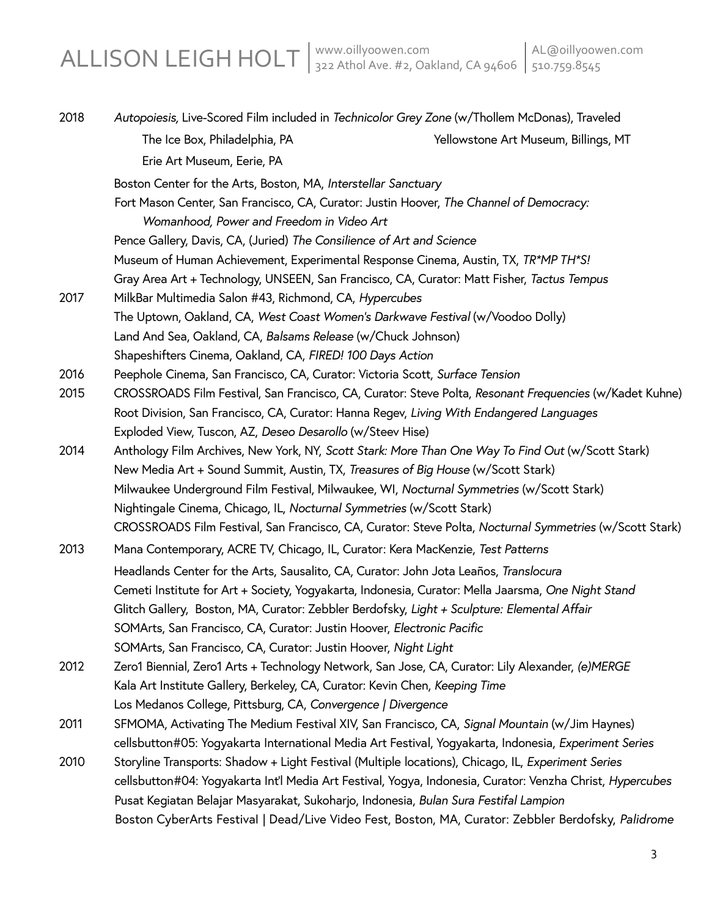| 2018 | Autopoiesis, Live-Scored Film included in Technicolor Grey Zone (w/Thollem McDonas), Traveled             |                                      |  |
|------|-----------------------------------------------------------------------------------------------------------|--------------------------------------|--|
|      | The Ice Box, Philadelphia, PA                                                                             | Yellowstone Art Museum, Billings, MT |  |
|      | Erie Art Museum, Eerie, PA                                                                                |                                      |  |
|      | Boston Center for the Arts, Boston, MA, Interstellar Sanctuary                                            |                                      |  |
|      | Fort Mason Center, San Francisco, CA, Curator: Justin Hoover, The Channel of Democracy:                   |                                      |  |
|      | Womanhood, Power and Freedom in Video Art                                                                 |                                      |  |
|      | Pence Gallery, Davis, CA, (Juried) The Consilience of Art and Science                                     |                                      |  |
|      | Museum of Human Achievement, Experimental Response Cinema, Austin, TX, TR*MP TH*S!                        |                                      |  |
|      | Gray Area Art + Technology, UNSEEN, San Francisco, CA, Curator: Matt Fisher, Tactus Tempus                |                                      |  |
| 2017 | MilkBar Multimedia Salon #43, Richmond, CA, Hypercubes                                                    |                                      |  |
|      | The Uptown, Oakland, CA, West Coast Women's Darkwave Festival (w/Voodoo Dolly)                            |                                      |  |
|      | Land And Sea, Oakland, CA, Balsams Release (w/Chuck Johnson)                                              |                                      |  |
|      | Shapeshifters Cinema, Oakland, CA, FIRED! 100 Days Action                                                 |                                      |  |
| 2016 | Peephole Cinema, San Francisco, CA, Curator: Victoria Scott, Surface Tension                              |                                      |  |
| 2015 | CROSSROADS Film Festival, San Francisco, CA, Curator: Steve Polta, Resonant Frequencies (w/Kadet Kuhne)   |                                      |  |
|      | Root Division, San Francisco, CA, Curator: Hanna Regev, Living With Endangered Languages                  |                                      |  |
|      | Exploded View, Tuscon, AZ, Deseo Desarollo (w/Steev Hise)                                                 |                                      |  |
| 2014 | Anthology Film Archives, New York, NY, Scott Stark: More Than One Way To Find Out (w/Scott Stark)         |                                      |  |
|      | New Media Art + Sound Summit, Austin, TX, Treasures of Big House (w/Scott Stark)                          |                                      |  |
|      | Milwaukee Underground Film Festival, Milwaukee, WI, Nocturnal Symmetries (w/Scott Stark)                  |                                      |  |
|      | Nightingale Cinema, Chicago, IL, Nocturnal Symmetries (w/Scott Stark)                                     |                                      |  |
|      | CROSSROADS Film Festival, San Francisco, CA, Curator: Steve Polta, Nocturnal Symmetries (w/Scott Stark)   |                                      |  |
| 2013 | Mana Contemporary, ACRE TV, Chicago, IL, Curator: Kera MacKenzie, Test Patterns                           |                                      |  |
|      | Headlands Center for the Arts, Sausalito, CA, Curator: John Jota Leaños, Translocura                      |                                      |  |
|      | Cemeti Institute for Art + Society, Yogyakarta, Indonesia, Curator: Mella Jaarsma, One Night Stand        |                                      |  |
|      | Glitch Gallery, Boston, MA, Curator: Zebbler Berdofsky, Light + Sculpture: Elemental Affair               |                                      |  |
|      | SOMArts, San Francisco, CA, Curator: Justin Hoover, Electronic Pacific                                    |                                      |  |
|      | SOMArts, San Francisco, CA, Curator: Justin Hoover, Night Light                                           |                                      |  |
| 2012 | Zero1 Biennial, Zero1 Arts + Technology Network, San Jose, CA, Curator: Lily Alexander, (e)MERGE          |                                      |  |
|      | Kala Art Institute Gallery, Berkeley, CA, Curator: Kevin Chen, Keeping Time                               |                                      |  |
|      | Los Medanos College, Pittsburg, CA, Convergence   Divergence                                              |                                      |  |
| 2011 | SFMOMA, Activating The Medium Festival XIV, San Francisco, CA, Signal Mountain (w/Jim Haynes)             |                                      |  |
|      | cellsbutton#05: Yogyakarta International Media Art Festival, Yogyakarta, Indonesia, Experiment Series     |                                      |  |
| 2010 | Storyline Transports: Shadow + Light Festival (Multiple locations), Chicago, IL, Experiment Series        |                                      |  |
|      | cellsbutton#04: Yogyakarta Int'l Media Art Festival, Yogya, Indonesia, Curator: Venzha Christ, Hypercubes |                                      |  |
|      | Pusat Kegiatan Belajar Masyarakat, Sukoharjo, Indonesia, Bulan Sura Festifal Lampion                      |                                      |  |
|      | Boston CyberArts Festival   Dead/Live Video Fest, Boston, MA, Curator: Zebbler Berdofsky, Palidrome       |                                      |  |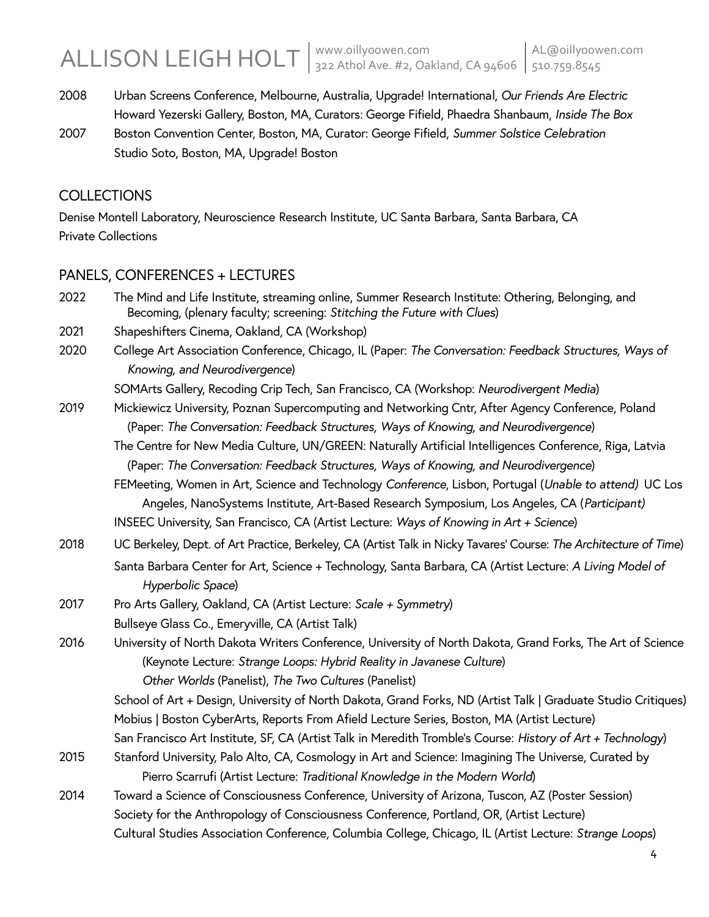# ALLISON LEIGH HOLT 322 Athol Ave. #2, Oakland, CA 94606 510.759.8545

- 2008 Urban Screens Conference, Melbourne, Australia, Upgrade! International, *Our Friends Are Electric* Howard Yezerski Gallery, Boston, MA, Curators: George Fifield, Phaedra Shanbaum, *Inside The Box*
- 2007 Boston Convention Center, Boston, MA, Curator: George Fifield, *Summer Solstice Celebration* Studio Soto, Boston, MA, Upgrade! Boston

## **COLLECTIONS**

Denise Montell Laboratory, Neuroscience Research Institute, UC Santa Barbara, Santa Barbara, CA Private Collections

# PANELS, CONFERENCES + LECTURES

2022 The Mind and Life Institute, streaming online, Summer Research Institute: Othering, Belonging, and Becoming, (plenary faculty; screening: *Stitching the Future with Clues*) 2021 Shapeshifters Cinema, Oakland, CA (Workshop) 2020 College Art Association Conference, Chicago, IL (Paper: *The Conversation: Feedback Structures, Ways of Knowing, and Neurodivergence*) SOMArts Gallery, Recoding Crip Tech, San Francisco, CA (Workshop: *Neurodivergent Media*) 2019 Mickiewicz University, Poznan Supercomputing and Networking Cntr, After Agency Conference, Poland (Paper: *The Conversation: Feedback Structures, Ways of Knowing, and Neurodivergence*) The Centre for New Media Culture, UN/GREEN: Naturally Artificial Intelligences Conference, Riga, Latvia (Paper: *The Conversation: Feedback Structures, Ways of Knowing, and Neurodivergence*) FEMeeting, Women in Art, Science and Technology *Conference*, Lisbon, Portugal (*Unable to attend)* UC Los Angeles, NanoSystems Institute, Art-Based Research Symposium, Los Angeles, CA (*Participant)* INSEEC University, San Francisco, CA (Artist Lecture: *Ways of Knowing in Art + Science*) 2018 UC Berkeley, Dept. of Art Practice, Berkeley, CA (Artist Talk in Nicky Tavares' Course: *The Architecture of Time*) Santa Barbara Center for Art, Science + Technology, Santa Barbara, CA (Artist Lecture: *A Living Model of Hyperbolic Space*) 2017 Pro Arts Gallery, Oakland, CA (Artist Lecture: *Scale + Symmetry*) Bullseye Glass Co., Emeryville, CA (Artist Talk) 2016 University of North Dakota Writers Conference, University of North Dakota, Grand Forks*,* The Art of Science (Keynote Lecture: *Strange Loops: Hybrid Reality in Javanese Culture*)  *Other Worlds* (Panelist), *The Two Cultures* (Panelist) School of Art + Design, University of North Dakota, Grand Forks, ND (Artist Talk | Graduate Studio Critiques) Mobius | Boston CyberArts, Reports From Afield Lecture Series, Boston, MA (Artist Lecture) San Francisco Art Institute, SF, CA (Artist Talk in Meredith Tromble's Course: *History of Art + Technology*) 2015 Stanford University, Palo Alto, CA, Cosmology in Art and Science: Imagining The Universe, Curated by Pierro Scarrufi (Artist Lecture: *Traditional Knowledge in the Modern World*) 2014 Toward a Science of Consciousness Conference, University of Arizona, Tuscon, AZ (Poster Session) Society for the Anthropology of Consciousness Conference, Portland, OR, (Artist Lecture) Cultural Studies Association Conference, Columbia College, Chicago, IL (Artist Lecture: *Strange Loops*)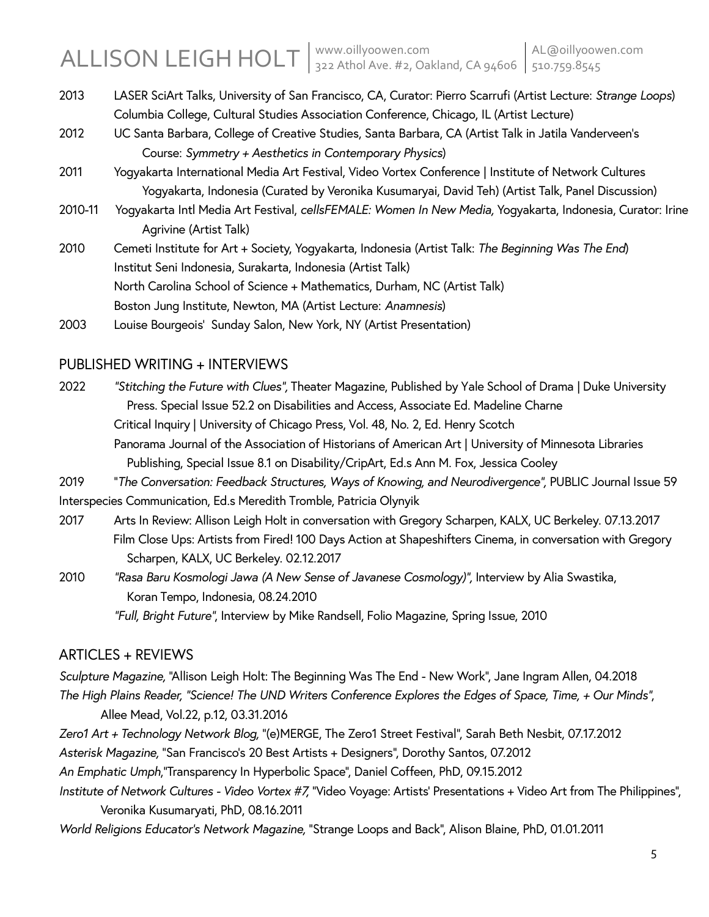- 2013 LASER SciArt Talks, University of San Francisco, CA, Curator: Pierro Scarrufi (Artist Lecture: *Strange Loops*) Columbia College, Cultural Studies Association Conference, Chicago, IL (Artist Lecture)
- 2012 UC Santa Barbara, College of Creative Studies, Santa Barbara, CA (Artist Talk in Jatila Vanderveen's Course: *Symmetry + Aesthetics in Contemporary Physics*)
- 2011 Yogyakarta International Media Art Festival, Video Vortex Conference | Institute of Network Cultures Yogyakarta, Indonesia (Curated by Veronika Kusumaryai, David Teh) (Artist Talk, Panel Discussion)
- 2010-11 Yogyakarta Intl Media Art Festival, *cellsFEMALE: Women In New Media,* Yogyakarta, Indonesia, Curator: Irine Agrivine (Artist Talk)
- 2010 Cemeti Institute for Art + Society, Yogyakarta, Indonesia (Artist Talk: *The Beginning Was The End*) Institut Seni Indonesia, Surakarta, Indonesia (Artist Talk) North Carolina School of Science + Mathematics, Durham, NC (Artist Talk) Boston Jung Institute, Newton, MA (Artist Lecture: *Anamnesis*)
- 2003 Louise Bourgeois' Sunday Salon, New York, NY (Artist Presentation)

## PUBLISHED WRITING + INTERVIEWS

- 2022 *"Stitching the Future with Clues",* Theater Magazine, Published by Yale School of Drama | Duke University Press. Special Issue 52.2 on Disabilities and Access, Associate Ed. Madeline Charne Critical Inquiry | University of Chicago Press, Vol. 48, No. 2, Ed. Henry Scotch Panorama Journal of the Association of Historians of American Art | University of Minnesota Libraries Publishing, Special Issue 8.1 on Disability/CripArt, Ed.s Ann M. Fox, Jessica Cooley
- 2019 "The Conversation: Feedback Structures, Ways of Knowing, and Neurodivergence", PUBLIC Journal Issue 59
- Interspecies Communication, Ed.s Meredith Tromble, Patricia Olynyik
- 2017 Arts In Review: Allison Leigh Holt in conversation with Gregory Scharpen, KALX, UC Berkeley. 07.13.2017 Film Close Ups: Artists from Fired! 100 Days Action at Shapeshifters Cinema, in conversation with Gregory Scharpen, KALX, UC Berkeley. 02.12.2017
- 2010 *"Rasa Baru Kosmologi Jawa (A New Sense of Javanese Cosmology)",* Interview by Alia Swastika, Koran Tempo, Indonesia, 08.24.2010

*"Full, Bright Future"*, Interview by Mike Randsell, Folio Magazine, Spring Issue, 2010

# ARTICLES + REVIEWS

*Sculpture Magazine,* "Allison Leigh Holt: The Beginning Was The End - New Work", Jane Ingram Allen, 04.2018 *The High Plains Reader, "Science! The UND Writers Conference Explores the Edges of Space, Time, + Our Minds"*, Allee Mead, Vol.22, p.12, 03.31.2016

*Zero1 Art + Technology Network Blog,* "(e)MERGE, The Zero1 Street Festival", Sarah Beth Nesbit, 07.17.2012

*Asterisk Magazine,* "San Francisco's 20 Best Artists + Designers", Dorothy Santos, 07.2012

*An Emphatic Umph*,"Transparency In Hyperbolic Space", Daniel Coffeen, PhD, 09.15.2012

- *Institute of Network Cultures - Video Vortex #7,* "Video Voyage: Artists' Presentations + Video Art from The Philippines", Veronika Kusumaryati, PhD, 08.16.2011
- *World Religions Educator's Network Magazine,* "Strange Loops and Back", Alison Blaine, PhD, 01.01.2011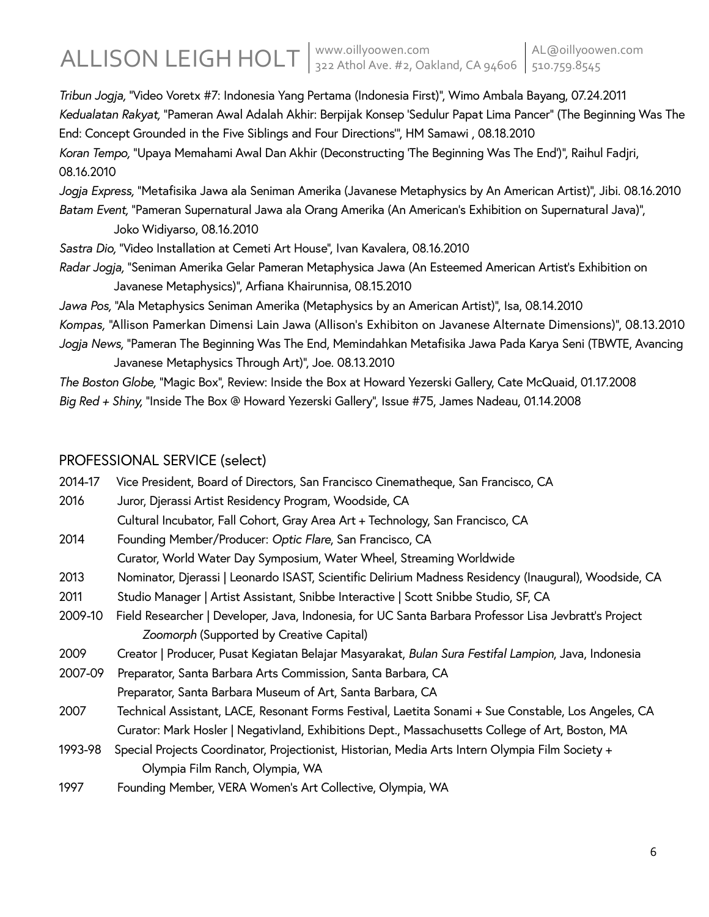*Tribun Jogja,* "Video Voretx #7: Indonesia Yang Pertama (Indonesia First)", Wimo Ambala Bayang, 07.24.2011 *Kedualatan Rakyat,* "Pameran Awal Adalah Akhir: Berpijak Konsep 'Sedulur Papat Lima Pancer" (The Beginning Was The End: Concept Grounded in the Five Siblings and Four Directions'", HM Samawi , 08.18.2010 *Koran Tempo,* "Upaya Memahami Awal Dan Akhir (Deconstructing 'The Beginning Was The End')", Raihul Fadjri, 08.16.2010

*Jogja Express,* "Metafisika Jawa ala Seniman Amerika (Javanese Metaphysics by An American Artist)", Jibi. 08.16.2010 *Batam Event,* "Pameran Supernatural Jawa ala Orang Amerika (An American's Exhibition on Supernatural Java)",

Joko Widiyarso, 08.16.2010

*Sastra Dio,* "Video Installation at Cemeti Art House", Ivan Kavalera, 08.16.2010

*Radar Jogja,* "Seniman Amerika Gelar Pameran Metaphysica Jawa (An Esteemed American Artist's Exhibition on Javanese Metaphysics)", Arfiana Khairunnisa, 08.15.2010

*Jawa Pos,* "Ala Metaphysics Seniman Amerika (Metaphysics by an American Artist)", Isa, 08.14.2010 *Kompas,* "Allison Pamerkan Dimensi Lain Jawa (Allison's Exhibiton on Javanese Alternate Dimensions)", 08.13.2010 *Jogja News,* "Pameran The Beginning Was The End, Memindahkan Metafisika Jawa Pada Karya Seni (TBWTE, Avancing Javanese Metaphysics Through Art)", Joe. 08.13.2010

*The Boston Globe,* "Magic Box", Review: Inside the Box at Howard Yezerski Gallery, Cate McQuaid, 01.17.2008 *Big Red + Shiny,* "Inside The Box @ Howard Yezerski Gallery", Issue #75, James Nadeau, 01.14.2008

## PROFESSIONAL SERVICE (select)

| 2014-17 | Vice President, Board of Directors, San Francisco Cinematheque, San Francisco, CA                           |
|---------|-------------------------------------------------------------------------------------------------------------|
| 2016    | Juror, Djerassi Artist Residency Program, Woodside, CA                                                      |
|         | Cultural Incubator, Fall Cohort, Gray Area Art + Technology, San Francisco, CA                              |
| 2014    | Founding Member/Producer: Optic Flare, San Francisco, CA                                                    |
|         | Curator, World Water Day Symposium, Water Wheel, Streaming Worldwide                                        |
| 2013    | Nominator, Djerassi   Leonardo ISAST, Scientific Delirium Madness Residency (Inaugural), Woodside, CA       |
| 2011    | Studio Manager   Artist Assistant, Snibbe Interactive   Scott Snibbe Studio, SF, CA                         |
| 2009-10 | Field Researcher   Developer, Java, Indonesia, for UC Santa Barbara Professor Lisa Jevbratt's Project       |
|         | Zoomorph (Supported by Creative Capital)                                                                    |
| 2009    | Creator   Producer, Pusat Kegiatan Belajar Masyarakat, <i>Bulan Sura Festifal Lampion</i> , Java, Indonesia |
| 2007-09 | Preparator, Santa Barbara Arts Commission, Santa Barbara, CA                                                |
|         | Preparator, Santa Barbara Museum of Art, Santa Barbara, CA                                                  |
| 2007    | Technical Assistant, LACE, Resonant Forms Festival, Laetita Sonami + Sue Constable, Los Angeles, CA         |
|         | Curator: Mark Hosler   Negativland, Exhibitions Dept., Massachusetts College of Art, Boston, MA             |
| 1993-98 | Special Projects Coordinator, Projectionist, Historian, Media Arts Intern Olympia Film Society +            |
|         | Olympia Film Ranch, Olympia, WA                                                                             |
| 1997    | Founding Member, VERA Women's Art Collective, Olympia, WA                                                   |